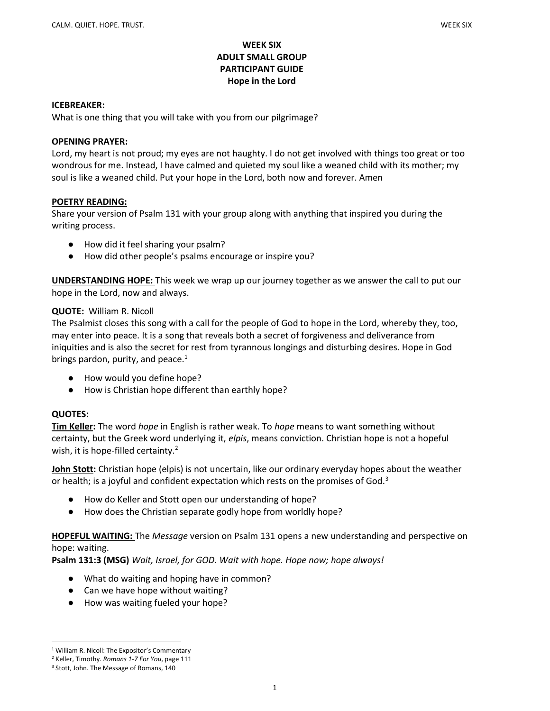## WEEK SIX ADULT SMALL GROUP PARTICIPANT GUIDE Hope in the Lord

#### ICEBREAKER:

What is one thing that you will take with you from our pilgrimage?

#### OPENING PRAYER:

Lord, my heart is not proud; my eyes are not haughty. I do not get involved with things too great or too wondrous for me. Instead, I have calmed and quieted my soul like a weaned child with its mother; my soul is like a weaned child. Put your hope in the Lord, both now and forever. Amen

### POETRY READING:

Share your version of Psalm 131 with your group along with anything that inspired you during the writing process.

- How did it feel sharing your psalm?
- How did other people's psalms encourage or inspire you?

UNDERSTANDING HOPE: This week we wrap up our journey together as we answer the call to put our hope in the Lord, now and always.

### QUOTE: William R. Nicoll

The Psalmist closes this song with a call for the people of God to hope in the Lord, whereby they, too, may enter into peace. It is a song that reveals both a secret of forgiveness and deliverance from iniquities and is also the secret for rest from tyrannous longings and disturbing desires. Hope in God brings pardon, purity, and peace. $1$ 

- How would you define hope?
- How is Christian hope different than earthly hope?

### QUOTES:

Tim Keller: The word *hope* in English is rather weak. To *hope* means to want something without certainty, but the Greek word underlying it, elpis, means conviction. Christian hope is not a hopeful wish, it is hope-filled certainty. $2$ 

John Stott: Christian hope (elpis) is not uncertain, like our ordinary everyday hopes about the weather or health; is a joyful and confident expectation which rests on the promises of God.<sup>3</sup>

- How do Keller and Stott open our understanding of hope?
- How does the Christian separate godly hope from worldly hope?

## **HOPEFUL WAITING:** The *Message* version on Psalm 131 opens a new understanding and perspective on hope: waiting.

Psalm 131:3 (MSG) Wait, Israel, for GOD. Wait with hope. Hope now; hope always!

- What do waiting and hoping have in common?
- Can we have hope without waiting?
- How was waiting fueled your hope?

<sup>&</sup>lt;sup>1</sup> William R. Nicoll: The Expositor's Commentary

<sup>&</sup>lt;sup>2</sup> Keller, Timothy. Romans 1-7 For You, page 111

<sup>&</sup>lt;sup>3</sup> Stott, John. The Message of Romans, 140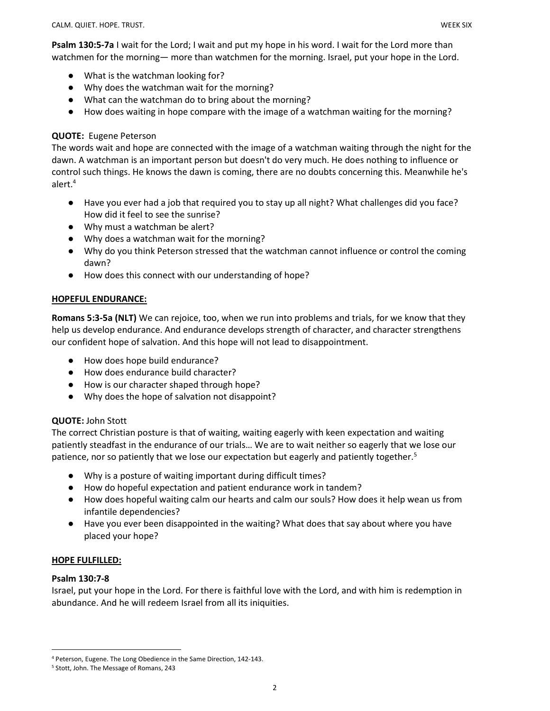- What is the watchman looking for?
- Why does the watchman wait for the morning?
- What can the watchman do to bring about the morning?
- How does waiting in hope compare with the image of a watchman waiting for the morning?

## QUOTE: Eugene Peterson

The words wait and hope are connected with the image of a watchman waiting through the night for the dawn. A watchman is an important person but doesn't do very much. He does nothing to influence or control such things. He knows the dawn is coming, there are no doubts concerning this. Meanwhile he's alert.<sup>4</sup>

- Have you ever had a job that required you to stay up all night? What challenges did you face? How did it feel to see the sunrise?
- Why must a watchman be alert?
- Why does a watchman wait for the morning?
- Why do you think Peterson stressed that the watchman cannot influence or control the coming dawn?
- How does this connect with our understanding of hope?

# HOPEFUL ENDURANCE:

Romans 5:3-5a (NLT) We can rejoice, too, when we run into problems and trials, for we know that they help us develop endurance. And endurance develops strength of character, and character strengthens our confident hope of salvation. And this hope will not lead to disappointment.

- How does hope build endurance?
- How does endurance build character?
- How is our character shaped through hope?
- Why does the hope of salvation not disappoint?

# QUOTE: John Stott

The correct Christian posture is that of waiting, waiting eagerly with keen expectation and waiting patiently steadfast in the endurance of our trials… We are to wait neither so eagerly that we lose our patience, nor so patiently that we lose our expectation but eagerly and patiently together.<sup>5</sup>

- Why is a posture of waiting important during difficult times?
- How do hopeful expectation and patient endurance work in tandem?
- How does hopeful waiting calm our hearts and calm our souls? How does it help wean us from infantile dependencies?
- Have you ever been disappointed in the waiting? What does that say about where you have placed your hope?

### HOPE FULFILLED:

### Psalm 130:7-8

Israel, put your hope in the Lord. For there is faithful love with the Lord, and with him is redemption in abundance. And he will redeem Israel from all its iniquities.

<sup>4</sup> Peterson, Eugene. The Long Obedience in the Same Direction, 142-143.

<sup>5</sup> Stott, John. The Message of Romans, 243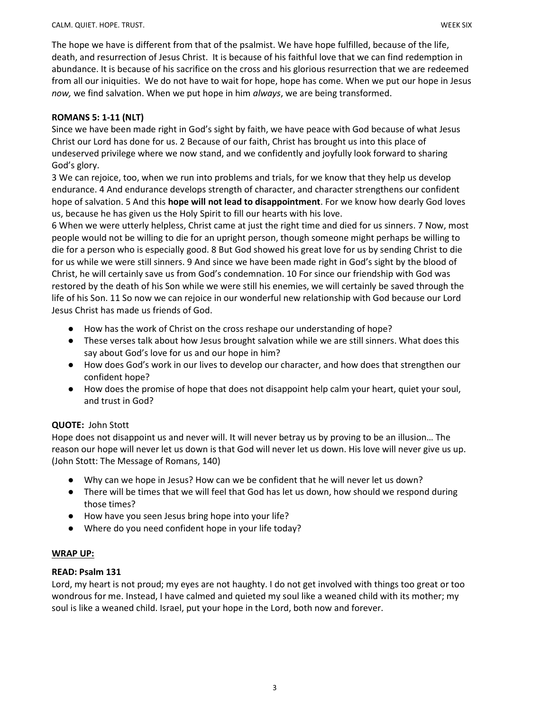The hope we have is different from that of the psalmist. We have hope fulfilled, because of the life, death, and resurrection of Jesus Christ. It is because of his faithful love that we can find redemption in abundance. It is because of his sacrifice on the cross and his glorious resurrection that we are redeemed from all our iniquities. We do not have to wait for hope, hope has come. When we put our hope in Jesus now, we find salvation. When we put hope in him always, we are being transformed.

## ROMANS 5: 1-11 (NLT)

Since we have been made right in God's sight by faith, we have peace with God because of what Jesus Christ our Lord has done for us. 2 Because of our faith, Christ has brought us into this place of undeserved privilege where we now stand, and we confidently and joyfully look forward to sharing God's glory.

3 We can rejoice, too, when we run into problems and trials, for we know that they help us develop endurance. 4 And endurance develops strength of character, and character strengthens our confident hope of salvation. 5 And this hope will not lead to disappointment. For we know how dearly God loves us, because he has given us the Holy Spirit to fill our hearts with his love.

6 When we were utterly helpless, Christ came at just the right time and died for us sinners. 7 Now, most people would not be willing to die for an upright person, though someone might perhaps be willing to die for a person who is especially good. 8 But God showed his great love for us by sending Christ to die for us while we were still sinners. 9 And since we have been made right in God's sight by the blood of Christ, he will certainly save us from God's condemnation. 10 For since our friendship with God was restored by the death of his Son while we were still his enemies, we will certainly be saved through the life of his Son. 11 So now we can rejoice in our wonderful new relationship with God because our Lord Jesus Christ has made us friends of God.

- How has the work of Christ on the cross reshape our understanding of hope?
- These verses talk about how Jesus brought salvation while we are still sinners. What does this say about God's love for us and our hope in him?
- How does God's work in our lives to develop our character, and how does that strengthen our confident hope?
- How does the promise of hope that does not disappoint help calm your heart, quiet your soul, and trust in God?

# QUOTE: John Stott

Hope does not disappoint us and never will. It will never betray us by proving to be an illusion… The reason our hope will never let us down is that God will never let us down. His love will never give us up. (John Stott: The Message of Romans, 140)

- Why can we hope in Jesus? How can we be confident that he will never let us down?
- There will be times that we will feel that God has let us down, how should we respond during those times?
- How have you seen Jesus bring hope into your life?
- Where do you need confident hope in your life today?

### WRAP UP:

### READ: Psalm 131

Lord, my heart is not proud; my eyes are not haughty. I do not get involved with things too great or too wondrous for me. Instead, I have calmed and quieted my soul like a weaned child with its mother; my soul is like a weaned child. Israel, put your hope in the Lord, both now and forever.